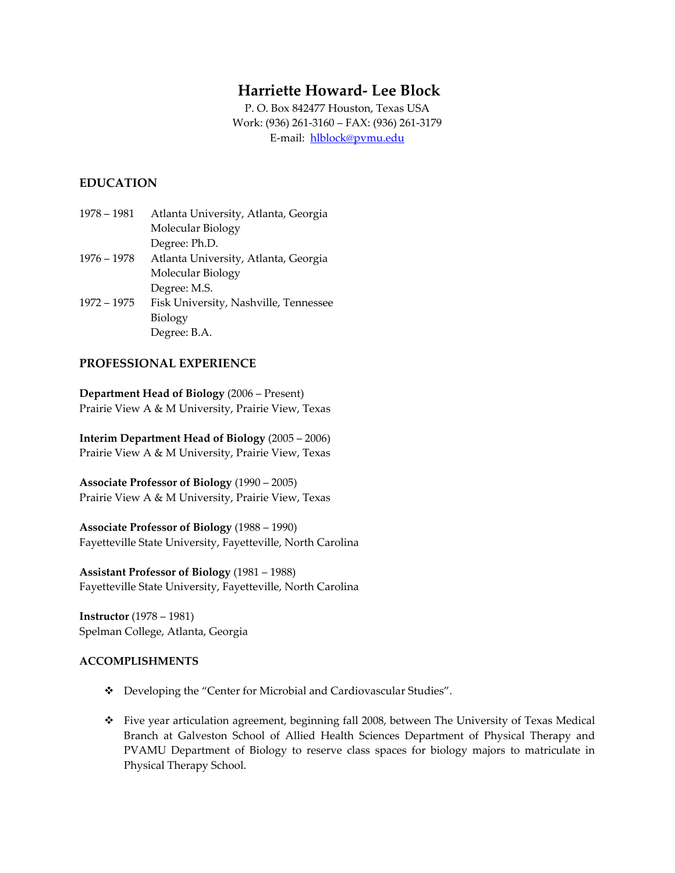# **Harriette Howard‐ Lee Block**

P. O. Box 842477 Houston, Texas USA Work: (936) 261‐3160 – FAX: (936) 261‐3179 E‐mail: [hlblock@pvmu.edu](mailto:hlblock@pvmu.edu)

## **EDUCATION**

1978 – 1981 Atlanta University, Atlanta, Georgia Molecular Biology Degree: Ph.D. 1976 – 1978 Atlanta University, Atlanta, Georgia Molecular Biology Degree: M.S. 1972 – 1975 Fisk University, Nashville, Tennessee Biology Degree: B.A.

## **PROFESSIONAL EXPERIENCE**

**Department Head of Biology** (2006 – Present) Prairie View A & M University, Prairie View, Texas

**Interim Department Head of Biology** (2005 – 2006) Prairie View A & M University, Prairie View, Texas

**Associate Professor of Biology** (1990 – 2005) Prairie View A & M University, Prairie View, Texas

**Associate Professor of Biology** (1988 – 1990) Fayetteville State University, Fayetteville, North Carolina

**Assistant Professor of Biology** (1981 – 1988) Fayetteville State University, Fayetteville, North Carolina

**Instructor** (1978 – 1981) Spelman College, Atlanta, Georgia

### **ACCOMPLISHMENTS**

- Developing the "Center for Microbial and Cardiovascular Studies".
- Five year articulation agreement, beginning fall 2008, between The University of Texas Medical Branch at Galveston School of Allied Health Sciences Department of Physical Therapy and PVAMU Department of Biology to reserve class spaces for biology majors to matriculate in Physical Therapy School.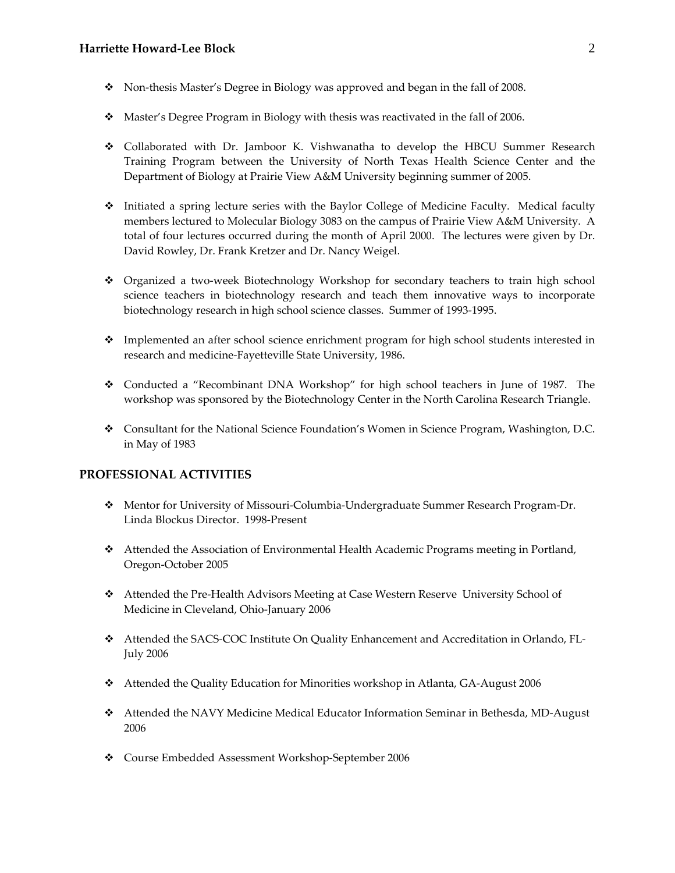- Non‐thesis Master's Degree in Biology was approved and began in the fall of 2008.
- Master's Degree Program in Biology with thesis was reactivated in the fall of 2006.
- Collaborated with Dr. Jamboor K. Vishwanatha to develop the HBCU Summer Research Training Program between the University of North Texas Health Science Center and the Department of Biology at Prairie View A&M University beginning summer of 2005.
- Initiated a spring lecture series with the Baylor College of Medicine Faculty. Medical faculty members lectured to Molecular Biology 3083 on the campus of Prairie View A&M University. A total of four lectures occurred during the month of April 2000. The lectures were given by Dr. David Rowley, Dr. Frank Kretzer and Dr. Nancy Weigel.
- Organized a two‐week Biotechnology Workshop for secondary teachers to train high school science teachers in biotechnology research and teach them innovative ways to incorporate biotechnology research in high school science classes. Summer of 1993‐1995.
- Implemented an after school science enrichment program for high school students interested in research and medicine‐Fayetteville State University, 1986.
- \* Conducted a "Recombinant DNA Workshop" for high school teachers in June of 1987. The workshop was sponsored by the Biotechnology Center in the North Carolina Research Triangle.
- \* Consultant for the National Science Foundation's Women in Science Program, Washington, D.C. in May of 1983

#### **PROFESSIONAL ACTIVITIES**

- Mentor for University of Missouri‐Columbia‐Undergraduate Summer Research Program‐Dr. Linda Blockus Director. 1998‐Present
- Attended the Association of Environmental Health Academic Programs meeting in Portland, Oregon‐October 2005
- Attended the Pre‐Health Advisors Meeting at Case Western Reserve University School of Medicine in Cleveland, Ohio‐January 2006
- Attended the SACS‐COC Institute On Quality Enhancement and Accreditation in Orlando, FL‐ July 2006
- Attended the Quality Education for Minorities workshop in Atlanta, GA‐August 2006
- Attended the NAVY Medicine Medical Educator Information Seminar in Bethesda, MD‐August 2006
- Course Embedded Assessment Workshop‐September 2006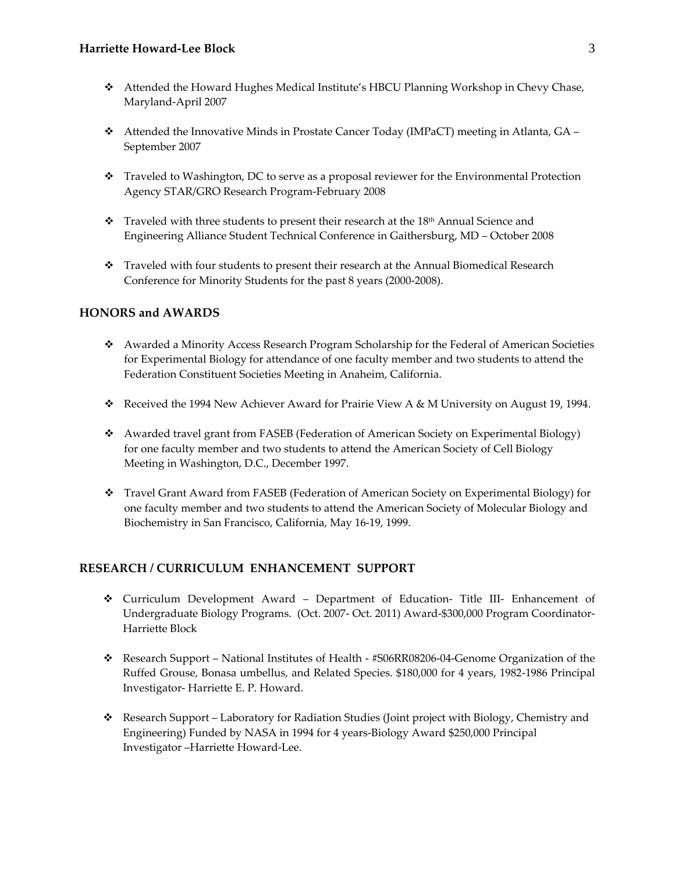- Attended the Howard Hughes Medical Institute's HBCU Planning Workshop in Chevy Chase, Maryland‐April 2007
- Attended the Innovative Minds in Prostate Cancer Today (IMPaCT) meeting in Atlanta, GA September 2007
- Traveled to Washington, DC to serve as a proposal reviewer for the Environmental Protection Agency STAR/GRO Research Program‐February 2008
- $\hat{\mathbf{v}}$  Traveled with three students to present their research at the 18<sup>th</sup> Annual Science and Engineering Alliance Student Technical Conference in Gaithersburg, MD – October 2008
- \* Traveled with four students to present their research at the Annual Biomedical Research Conference for Minority Students for the past 8 years (2000‐2008).

## **HONORS and AWARDS**

- Awarded a Minority Access Research Program Scholarship for the Federal of American Societies for Experimental Biology for attendance of one faculty member and two students to attend the Federation Constituent Societies Meeting in Anaheim, California.
- Received the 1994 New Achiever Award for Prairie View A & M University on August 19, 1994.
- \* Awarded travel grant from FASEB (Federation of American Society on Experimental Biology) for one faculty member and two students to attend the American Society of Cell Biology Meeting in Washington, D.C., December 1997.
- Travel Grant Award from FASEB (Federation of American Society on Experimental Biology) for one faculty member and two students to attend the American Society of Molecular Biology and Biochemistry in San Francisco, California, May 16‐19, 1999.

#### **RESEARCH / CURRICULUM ENHANCEMENT SUPPORT**

- Curriculum Development Award Department of Education‐ Title III‐ Enhancement of Undergraduate Biology Programs. (Oct. 2007‐ Oct. 2011) Award‐\$300,000 Program Coordinator‐ Harriette Block
- Research Support National Institutes of Health ‐ #S06RR08206‐04‐Genome Organization of the Ruffed Grouse, Bonasa umbellus, and Related Species. \$180,000 for 4 years, 1982‐1986 Principal Investigator‐ Harriette E. P. Howard.
- \* Research Support Laboratory for Radiation Studies (Joint project with Biology, Chemistry and Engineering) Funded by NASA in 1994 for 4 years‐Biology Award \$250,000 Principal Investigator –Harriette Howard‐Lee.